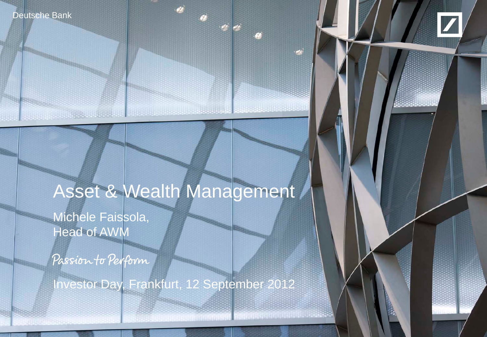

**CARD OF CARD AND** 



# Asset & Wealth Management

Michele Faissola, **Head of AWM** 

Passion to Perform

Investor Day, Frankfurt, 12 September 2012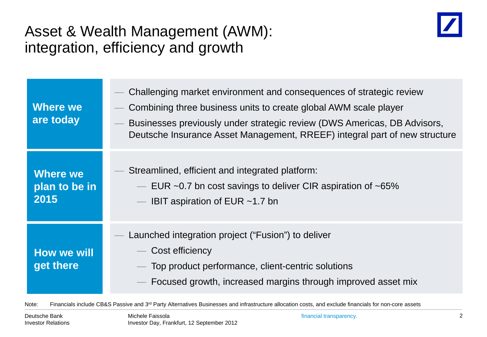#### Asset & Wealth Management (AWM): integration, efficiency and growth



| <b>Where we</b><br>are today             | Challenging market environment and consequences of strategic review<br>Combining three business units to create global AWM scale player<br>Businesses previously under strategic review (DWS Americas, DB Advisors,<br>Deutsche Insurance Asset Management, RREEF) integral part of new structure |
|------------------------------------------|---------------------------------------------------------------------------------------------------------------------------------------------------------------------------------------------------------------------------------------------------------------------------------------------------|
| <b>Where we</b><br>plan to be in<br>2015 | Streamlined, efficient and integrated platform:<br>$-$ EUR ~0.7 bn cost savings to deliver CIR aspiration of ~65%<br>— IBIT aspiration of EUR $~1.7$ bn                                                                                                                                           |
| <b>How we will</b><br>get there          | Launched integration project ("Fusion") to deliver<br>Cost efficiency<br>- Top product performance, client-centric solutions<br>Focused growth, increased margins through improved asset mix                                                                                                      |

Note: Financials include CB&S Passive and 3<sup>rd</sup> Party Alternatives Businesses and infrastructure allocation costs, and exclude financials for non-core assets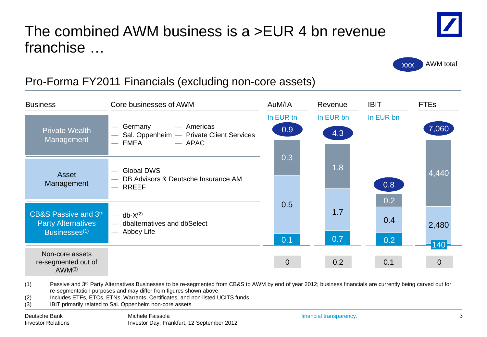### The combined AWM business is a >EUR 4 bn revenue franchise …



| <b>Business</b>                                                                | Core businesses of AWM                                                                                                                                                                                                                                                                                                                                                                           | AuM/IA                        | Revenue          | <b>IBIT</b>                    | <b>FTEs</b>                    |
|--------------------------------------------------------------------------------|--------------------------------------------------------------------------------------------------------------------------------------------------------------------------------------------------------------------------------------------------------------------------------------------------------------------------------------------------------------------------------------------------|-------------------------------|------------------|--------------------------------|--------------------------------|
| <b>Private Wealth</b><br>Management                                            | - Americas<br>Germany<br>Sal. Oppenheim - Private Client Services<br>EMEA<br>$-$ APAC<br>$\overline{\phantom{m}}$                                                                                                                                                                                                                                                                                | In EUR tn<br>0.9 <sub>0</sub> | In EUR bn<br>4.3 | In EUR bn                      | 7,060                          |
| Asset<br>Management                                                            | <b>Global DWS</b><br>$\overline{\phantom{m}}$<br>DB Advisors & Deutsche Insurance AM<br>$-$ RREEF                                                                                                                                                                                                                                                                                                | 0.3                           | 1.8              | 0.8                            | 4,440                          |
| CB&S Passive and 3rd<br><b>Party Alternatives</b><br>Businesses <sup>(1)</sup> | $db-X(2)$<br>$\overline{\phantom{m}}$<br>dbalternatives and dbSelect<br>$\overline{\phantom{0}}$<br>Abbey Life<br>$\overline{\phantom{m}}$                                                                                                                                                                                                                                                       | 0.5<br>0.1                    | 1.7<br>0.7       | 0.2<br>0.4<br>0.2 <sub>0</sub> | 2,480                          |
| Non-core assets<br>re-segmented out of<br>$AWM^{(3)}$                          |                                                                                                                                                                                                                                                                                                                                                                                                  | 0                             | 0.2              | 0.1                            | $-140^\circ$<br>$\overline{0}$ |
| (1)<br>(2)<br>(3)                                                              | Passive and 3 <sup>rd</sup> Party Alternatives Businesses to be re-segmented from CB&S to AWM by end of year 2012; business financials are currently being carved out for<br>re-segmentation purposes and may differ from figures shown above<br>Includes ETFs, ETCs, ETNs, Warrants, Certificates, and non listed UCITS funds<br><b>IRIT primarily related to Sal Oppenheim pon-core assets</b> |                               |                  |                                |                                |

(3) IBIT primarily related to Sal. Oppenheim non-core assets



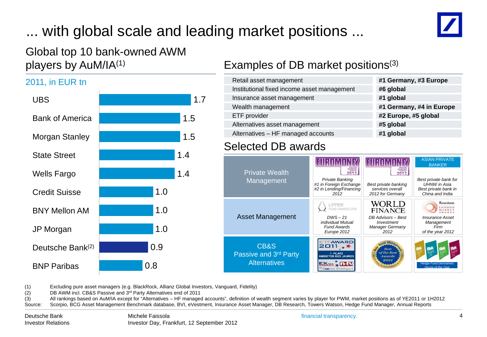# ... with global scale and leading market positions ...



#### Global top 10 bank-owned AWM players by AuM/IA(1)

#### 0.8 0.9 1.0 1.0 1.0 1.4 1.4 1.5 1.5 1.7 Wells Fargo BNP Paribas Deutsche Bank(2) JP Morgan BNY Mellon AM Credit Suisse State Street Morgan Stanley Bank of America UBS 2011, in EUR tn

#### Examples of DB market positions(3)

| Retail asset management                     | #1 Germany, #3 Europe    |
|---------------------------------------------|--------------------------|
| Institutional fixed income asset management | #6 global                |
| Insurance asset management                  | #1 global                |
| Wealth management                           | #1 Germany, #4 in Europe |
| ETF provider                                | #2 Europe, #5 global     |
| Alternatives asset management               | #5 global                |
| Alternatives - HF managed accounts          | #1 global                |
|                                             |                          |

#### Selected DB awards

| #6 global                |
|--------------------------|
| #1 global                |
| #1 Germany, #4 in Europe |
| #2 Europe, #5 global     |
| #5 global                |
| #1 global                |
|                          |

| <b>Private Wealth</b>                                |                                                                              |                                                                        | <b>ASIAN PRIVATE</b><br><b>BANKER</b>                                                   |
|------------------------------------------------------|------------------------------------------------------------------------------|------------------------------------------------------------------------|-----------------------------------------------------------------------------------------|
| Management                                           | Private Banking<br>#1 in Foreign Exchange<br>#2 in Lending/Financing<br>2012 | Best private banking<br>services overall<br>2012 for Germany           | Best private bank for<br><b>UHNW</b> in Asia<br>Best private bank in<br>China and India |
|                                                      | <b>I IPPFR</b><br>ID AWARDS 2012                                             | WORLD<br><b>FINANCE</b>                                                | <b>Reactions</b><br>ONDON<br>MARKET                                                     |
| <b>Asset Management</b>                              | $DWS - 21$<br>individual Mutual<br><b>Fund Awards</b><br>Europe 2012         | DB Advisors - Best<br>Investment<br>Manager Germany<br>2012            | <b>Insurance Asset</b><br>Management<br>Firm<br>of the year 2012                        |
| CB&S<br>Passive and 3rd Party<br><b>Alternatives</b> | <b>AWARD</b><br>ANRIFTER DES JAHREY                                          | set Man<br>Hest<br>of the Best<br><b>Awards</b><br>2011<br>OF INVESTME | <b>Hedge Fund Derivatives</b><br>House of the Year                                      |

(1) Excluding pure asset managers (e.g. BlackRock, Allianz Global Investors, Vanguard, Fidelity)

(2) **DB AWM incl. CB&S Passive and 3<sup>rd</sup> Party Alternatives end of 2011**<br>(3) All rankings based on AuM/IA except for "Alternatives – HF manage

(3) All rankings based on AuM/IA except for "Alternatives – HF managed accounts", definition of wealth segment varies by player for PWM, market positions as of YE2011 or 1H2012 Source: Scorpio, BCG Asset Management Benchmark database, BVI, eVestment, Insurance Asset Manager, DB Research, Towers Watson, Hedge Fund Manager, Annual Reports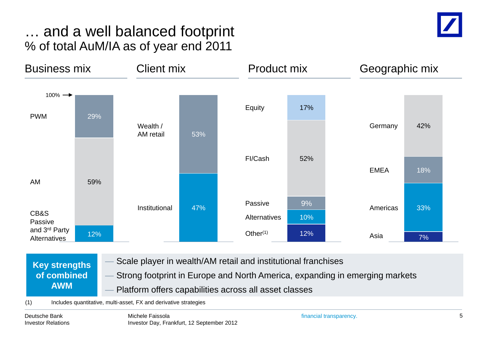#### … and a well balanced footprint % of total AuM/IA as of year end 2011





**Key strengths of combined AWM**

Scale player in wealth/AM retail and institutional franchises

— Strong footprint in Europe and North America, expanding in emerging markets Platform offers capabilities across all asset classes

(1) Includes quantitative, multi-asset, FX and derivative strategies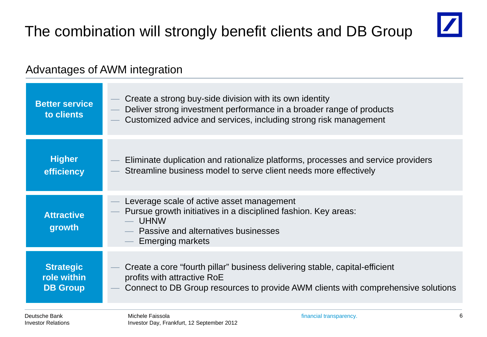

#### Advantages of AWM integration

| <b>Better service</b><br>to clients | Create a strong buy-side division with its own identity<br>Deliver strong investment performance in a broader range of products<br>Customized advice and services, including strong risk management |
|-------------------------------------|-----------------------------------------------------------------------------------------------------------------------------------------------------------------------------------------------------|
| <b>Higher</b>                       | Eliminate duplication and rationalize platforms, processes and service providers                                                                                                                    |
| efficiency                          | Streamline business model to serve client needs more effectively                                                                                                                                    |
| <b>Attractive</b><br>growth         | Leverage scale of active asset management<br>Pursue growth initiatives in a disciplined fashion. Key areas:<br><b>UHNW</b><br>Passive and alternatives businesses<br><b>Emerging markets</b>        |
| <b>Strategic</b>                    | Create a core "fourth pillar" business delivering stable, capital-efficient                                                                                                                         |
| role within                         | profits with attractive RoE                                                                                                                                                                         |
| <b>DB Group</b>                     | Connect to DB Group resources to provide AWM clients with comprehensive solutions                                                                                                                   |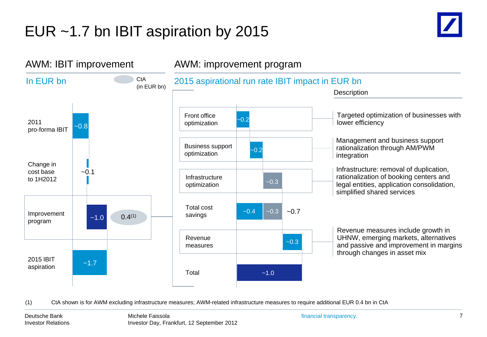# EUR ~1.7 bn IBIT aspiration by 2015





(1) CtA shown is for AWM excluding infrastructure measures; AWM-related infrastructure measures to require additional EUR 0.4 bn in CtA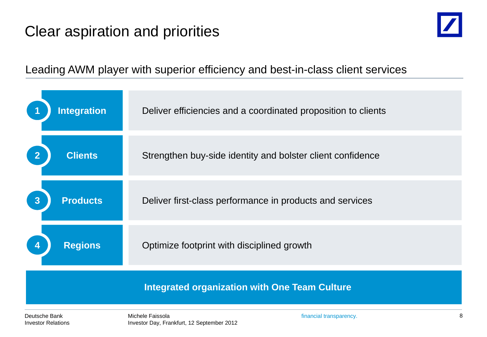# Clear aspiration and priorities



Leading AWM player with superior efficiency and best-in-class client services

| Deutsche Bank<br><b>Investor Relations</b> | Michele Faissola<br>Investor Day, Frankfurt, 12 September 2012 | financial transparency.                                       | 8 |
|--------------------------------------------|----------------------------------------------------------------|---------------------------------------------------------------|---|
|                                            | <b>Integrated organization with One Team Culture</b>           |                                                               |   |
| <b>Regions</b>                             | Optimize footprint with disciplined growth                     |                                                               |   |
| <b>Products</b><br>$\overline{3}$          |                                                                | Deliver first-class performance in products and services      |   |
| <b>Clients</b>                             |                                                                | Strengthen buy-side identity and bolster client confidence    |   |
| <b>Integration</b>                         |                                                                | Deliver efficiencies and a coordinated proposition to clients |   |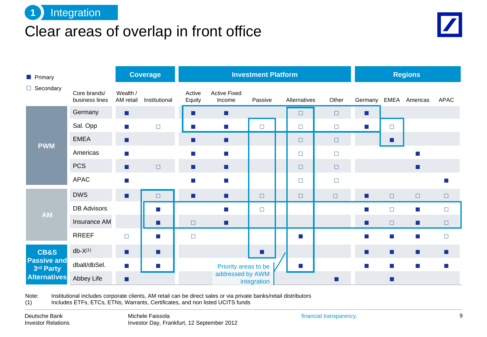

#### Clear areas of overlap in front office



|  | <b>Primary</b>                  |                                |                             | <b>Coverage</b>             |                             |                                  | <b>Investment Platform</b>  |              |        |                             |                           | <b>Regions</b> |             |
|--|---------------------------------|--------------------------------|-----------------------------|-----------------------------|-----------------------------|----------------------------------|-----------------------------|--------------|--------|-----------------------------|---------------------------|----------------|-------------|
|  | $\Box$ Secondary                | Core brands/<br>business lines | Wealth /<br>AM retail       | Institutional               | Active<br>Equity            | <b>Active Fixed</b><br>Income    | Passive                     | Alternatives | Other  | Germany                     |                           | EMEA Americas  | <b>APAC</b> |
|  |                                 | Germany                        | п                           |                             | <b>Contract Contract</b>    | п                                |                             | $\Box$       | $\Box$ | ш                           |                           |                |             |
|  |                                 | Sal. Opp                       | $\mathcal{L}_{\mathcal{A}}$ | $\Box$                      | $\sim$                      | $\mathcal{C}^{\mathcal{A}}$      | $\Box$                      | $\Box$       | $\Box$ | $\mathcal{C}^{\mathcal{A}}$ | $\Box$                    |                |             |
|  | <b>PWM</b>                      | <b>EMEA</b>                    | п                           |                             | <b>College</b>              | $\blacksquare$                   |                             | $\Box$       | $\Box$ |                             | a se                      |                |             |
|  |                                 | Americas                       | $\mathcal{L}_{\mathcal{A}}$ |                             | $\sim$                      | $\left\vert \cdot \right\rangle$ |                             | $\Box$       | $\Box$ |                             |                           | m.             |             |
|  |                                 | <b>PCS</b>                     | п                           | $\Box$                      | $\mathcal{L}_{\mathcal{A}}$ | $\mathcal{L}_{\mathcal{A}}$      |                             | $\Box$       | $\Box$ |                             |                           | П              |             |
|  |                                 | <b>APAC</b>                    | $\mathbb{R}^n$              |                             | $\sim$                      | $\mathcal{C}^{\mathcal{A}}$      |                             | $\Box$       | $\Box$ |                             |                           |                |             |
|  |                                 | <b>DWS</b>                     | П                           | $\Box$                      | <b>College</b>              | $\mathbf{r}$                     | $\Box$                      | $\Box$       | $\Box$ | $\mathcal{L}$               | $\Box$                    | $\Box$         | $\Box$      |
|  | <b>AM</b>                       | <b>DB Advisors</b>             |                             | $\sim$                      |                             | $\mathcal{C}^{\mathcal{A}}$      | $\Box$                      |              |        | m.                          | $\Box$                    | T.             | $\Box$      |
|  |                                 | Insurance AM                   |                             | ш                           | $\Box$                      | $\mathcal{L}_{\mathcal{A}}$      |                             |              |        | п                           | $\Box$                    | Ш              | $\Box$      |
|  |                                 | <b>RREEF</b>                   | $\Box$                      | $\sim$                      | $\Box$                      |                                  |                             | F.           |        | T.                          | $\mathcal{O}(\mathbb{R})$ | T.             | $\Box$      |
|  | <b>CB&amp;S</b>                 | $db-X(1)$                      | п                           | $\mathcal{L}_{\mathcal{A}}$ |                             |                                  | $\mathcal{L}_{\mathcal{A}}$ |              |        | п                           | $\mathcal{L}$             | ш              | ш           |
|  | <b>Passive and</b><br>3rd Party | dbalt/dbSel.                   | $\vert \cdot \vert$         | $\sim$                      |                             | Priority areas to be             |                             | u.           |        | T.                          | $\mathbb{R}^n$ .          | $\mathbb{R}^3$ |             |
|  | <b>Alternatives</b>             | Abbey Life                     | $\mathcal{L}_{\mathcal{A}}$ |                             |                             | addressed by AWM                 | integration                 |              | ш      |                             | ш                         |                |             |

Note: Institutional includes corporate clients, AM retail can be direct sales or via private banks/retail distributors (1) Includes ETFs, ETCs, ETNs, Warrants, Certificates, and non listed UCITS funds

Includes ETFs, ETCs, ETNs, Warrants, Certificates, and non listed UCITS funds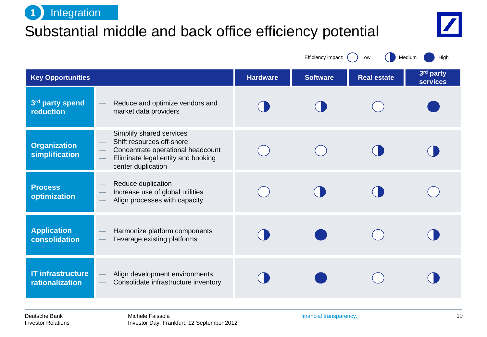

# Substantial middle and back office efficiency potential



Efficiency impact: ( ) Low ( ) Medium ( ) High

| <b>Key Opportunities</b>                    |                                                                                                                                                        | <b>Hardware</b> | <b>Software</b> | <b>Real estate</b> | 3rd party<br><b>services</b> |
|---------------------------------------------|--------------------------------------------------------------------------------------------------------------------------------------------------------|-----------------|-----------------|--------------------|------------------------------|
| 3rd party spend<br>reduction                | Reduce and optimize vendors and<br>market data providers                                                                                               |                 |                 |                    |                              |
| <b>Organization</b><br>simplification       | Simplify shared services<br>Shift resources off-shore<br>Concentrate operational headcount<br>Eliminate legal entity and booking<br>center duplication |                 |                 |                    |                              |
| <b>Process</b><br>optimization              | Reduce duplication<br>Increase use of global utilities<br>Align processes with capacity                                                                |                 |                 |                    |                              |
| <b>Application</b><br>consolidation         | Harmonize platform components<br>Leverage existing platforms                                                                                           |                 |                 |                    |                              |
| <b>IT infrastructure</b><br>rationalization | Align development environments<br>Consolidate infrastructure inventory                                                                                 |                 |                 |                    |                              |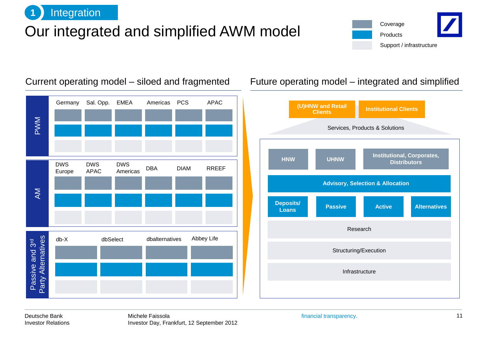

### Our integrated and simplified AWM model





Current operating model – siloed and fragmented Future operating model – integrated and simplified



Deutsche Bank Investor Relations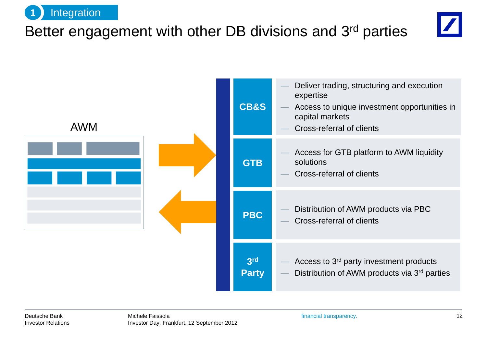

# Better engagement with other DB divisions and 3rd parties



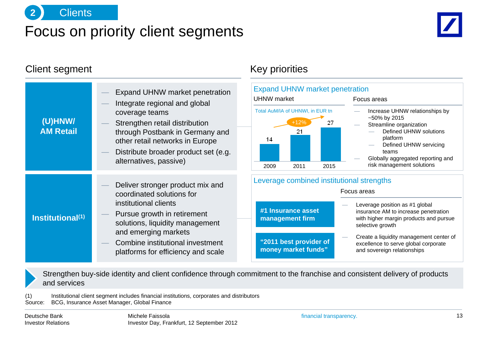

#### Focus on priority client segments



#### Client segment Client segment

|                              |                                                                                                                                                                                          | Expand UHNW market penetration<br>Integrate regional and global             | <b>Expand UHNW market</b><br><b>UHNW</b> market |  |  |  |
|------------------------------|------------------------------------------------------------------------------------------------------------------------------------------------------------------------------------------|-----------------------------------------------------------------------------|-------------------------------------------------|--|--|--|
| (U)HNW/<br><b>AM Retail</b>  | coverage teams<br>Strengthen retail distribution<br>through Postbank in Germany and<br>other retail networks in Europe<br>Distribute broader product set (e.g.<br>alternatives, passive) | Total AuM/IA of UHNWI, in EUR t<br>$+12%$<br>21<br>14<br>2009<br>2011<br>20 |                                                 |  |  |  |
|                              |                                                                                                                                                                                          | Deliver stronger product mix and<br>coordinated solutions for               | Leverage combined ins                           |  |  |  |
| Institutional <sup>(1)</sup> | institutional clients<br>Pursue growth in retirement<br>solutions, liquidity management                                                                                                  | #1 Insurance asset<br>management firm                                       |                                                 |  |  |  |
|                              | and emerging markets<br>Combine institutional investment<br>platforms for efficiency and scale                                                                                           | "2011 best provider of<br>money market funds"                               |                                                 |  |  |  |



— Create a liquidity management center of excellence to serve global corporate and sovereign relationships

Strengthen buy-side identity and client confidence through commitment to the franchise and consistent delivery of products and services

(1) Institutional client segment includes financial institutions, corporates and distributors Source: BCG, Insurance Asset Manager, Global Finance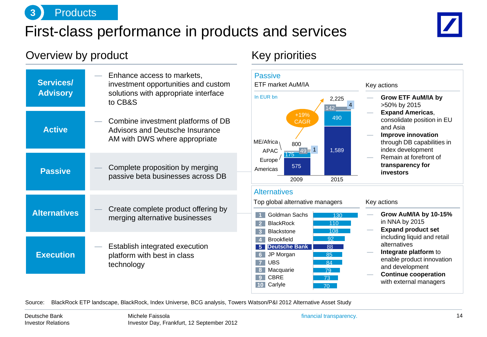

#### First-class performance in products and services



#### Overview by product and the Coverview by product and the Key priorities

| Services/<br><b>Advisory</b> | Enhance access to markets,<br>investment opportunities and custom<br>solutions with appropriate interface<br>to CB&S |
|------------------------------|----------------------------------------------------------------------------------------------------------------------|
| <b>Active</b>                | Combine investment platforms of DB<br><b>Advisors and Deutsche Insurance</b><br>AM with DWS where appropriate        |
| <b>Passive</b>               | Complete proposition by merging<br>passive beta businesses across DB                                                 |
| <b>Alternatives</b>          | Create complete product offering by<br>merging alternative businesses                                                |
| <b>Execution</b>             | Establish integrated execution<br>platform with best in class<br>technology                                          |



Source: BlackRock ETP landscape, BlackRock, Index Universe, BCG analysis, Towers Watson/P&I 2012 Alternative Asset Study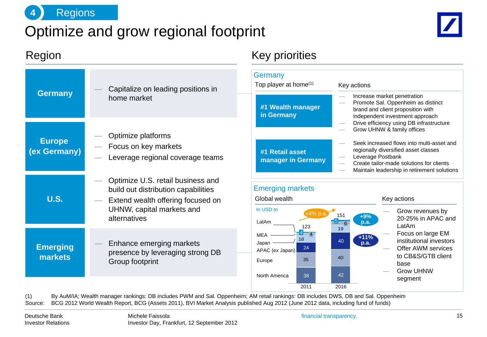

### Optimize and grow regional footprint



#### Region **Region** Region Region Region Region Region Region Regional Region Regional Regional Regional Regional Regional Regional Regional Regional Regional Regional Regional Regional Regional Regional Regional Regional Regi **Germany** Top player at home $(1)$  Key actions — Increase market penetration Promote Sal. Oppenheim as distinct brand and client proposition with independent investment approach — Drive efficiency using DB infrastructure — Grow UHNW & family offices Seek increased flows into multi-asset and regionally diversified asset classes — Leverage Postbank — Create tailor-made solutions for clients — Maintain leadership in retirement solutions Emerging markets Key actions Grow revenues by 20-25% in APAC and LatAm — Focus on large EM institutional investors Offer AWM services to CB&S/GTB client base — Grow UHNW segment Global wealth **#1 Wealth manager in Germany #1 Retail asset manager in Germany** In USD tn (2) 35 40 19 18 Japan MEA · LatAm 2016 151 42 40  $\frac{5}{6}$  6 2011 North America Europe APAC (ex Japan) 123 38 24  $4 - 4$ +4% p.a. **+11% p.a. +9% p.a. Europe (ex Germany) Germany Emerging markets U.S.** Capitalize on leading positions in home market — Optimize platforms — Focus on key markets Leverage regional coverage teams — Optimize U.S. retail business and build out distribution capabilities Extend wealth offering focused on UHNW, capital markets and alternatives — Enhance emerging markets presence by leveraging strong DB Group footprint

(1) By AuM/IA; Wealth manager rankings: DB includes PWM and Sal. Oppenheim; AM retail rankings: DB includes DWS, DB and Sal. Oppenheim Source: BCG 2012 World Wealth Report, BCG (Assets 2011), BVI Market Analysis published Aug 2012 (June 2012 data, including fund of funds)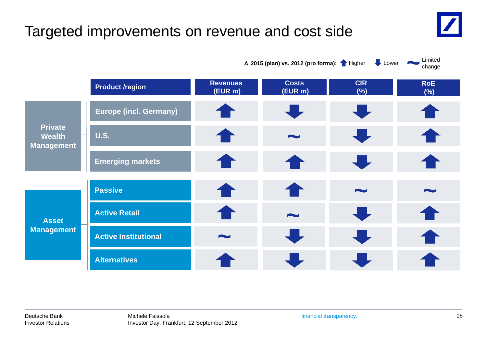# Targeted improvements on revenue and cost side

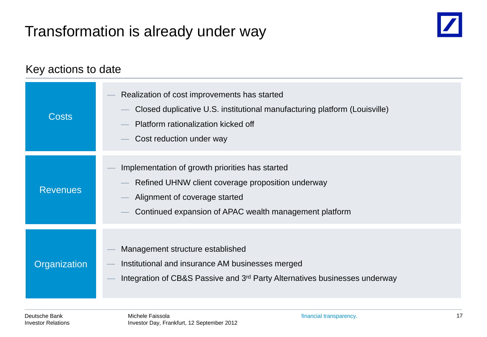# Transformation is already under way

![](_page_16_Picture_1.jpeg)

#### Key actions to date

| <b>Costs</b>    | Realization of cost improvements has started<br>Closed duplicative U.S. institutional manufacturing platform (Louisville)<br>Platform rationalization kicked off<br>Cost reduction under way    |
|-----------------|-------------------------------------------------------------------------------------------------------------------------------------------------------------------------------------------------|
| <b>Revenues</b> | Implementation of growth priorities has started<br>Refined UHNW client coverage proposition underway<br>Alignment of coverage started<br>Continued expansion of APAC wealth management platform |
| Organization    | Management structure established<br>Institutional and insurance AM businesses merged<br>Integration of CB&S Passive and 3 <sup>rd</sup> Party Alternatives businesses underway                  |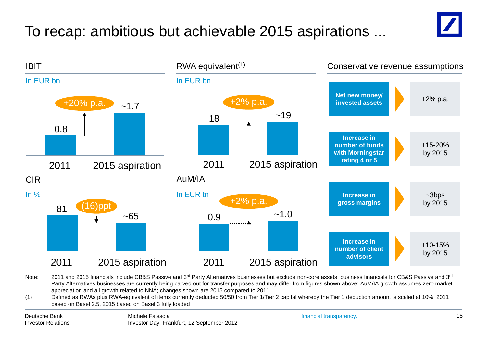# To recap: ambitious but achievable 2015 aspirations ...

![](_page_17_Picture_1.jpeg)

![](_page_17_Figure_2.jpeg)

Note: 2011 and 2015 financials include CB&S Passive and 3<sup>rd</sup> Party Alternatives businesses but exclude non-core assets; business financials for CB&S Passive and 3<sup>rd</sup> Party Alternatives businesses are currently being carved out for transfer purposes and may differ from figures shown above; AuM/IA growth assumes zero market appreciation and all growth related to NNA; changes shown are 2015 compared to 2011

(1) Defined as RWAs plus RWA-equivalent of items currently deducted 50/50 from Tier 1/Tier 2 capital whereby the Tier 1 deduction amount is scaled at 10%; 2011 based on Basel 2.5, 2015 based on Basel 3 fully loaded

Deutsche Bank Investor Relations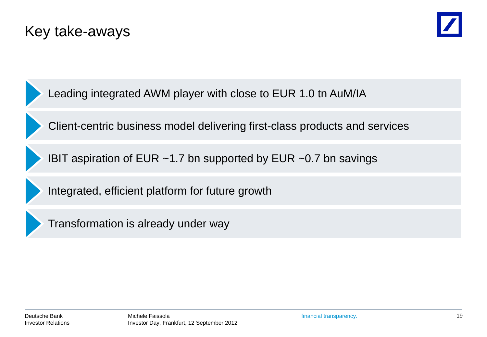### Key take-aways

![](_page_18_Picture_1.jpeg)

Leading integrated AWM player with close to EUR 1.0 tn AuM/IA

Client-centric business model delivering first-class products and services

IBIT aspiration of EUR ~1.7 bn supported by EUR ~0.7 bn savings

Integrated, efficient platform for future growth

![](_page_18_Picture_6.jpeg)

Transformation is already under way